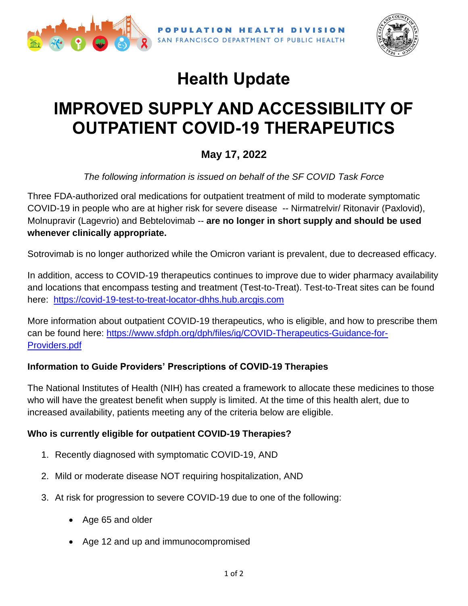



# **Health Update**

## **IMPROVED SUPPLY AND ACCESSIBILITY OF OUTPATIENT COVID-19 THERAPEUTICS**

### **May 17, 2022**

*The following information is issued on behalf of the SF COVID Task Force*

Three FDA-authorized oral medications for outpatient treatment of mild to moderate symptomatic COVID-19 in people who are at higher risk for severe disease -- Nirmatrelvir/ Ritonavir (Paxlovid), Molnupravir (Lagevrio) and Bebtelovimab -- **are no longer in short supply and should be used whenever clinically appropriate.**

Sotrovimab is no longer authorized while the Omicron variant is prevalent, due to decreased efficacy.

In addition, access to COVID-19 therapeutics continues to improve due to wider pharmacy availability and locations that encompass testing and treatment (Test-to-Treat). Test-to-Treat sites can be found here: [https://covid-19-test-to-treat-locator-dhhs.hub.arcgis.com](https://covid-19-test-to-treat-locator-dhhs.hub.arcgis.com/)

More information about outpatient COVID-19 therapeutics, who is eligible, and how to prescribe them can be found here: [https://www.sfdph.org/dph/files/ig/COVID-Therapeutics-Guidance-for-](https://www.sfdph.org/dph/files/ig/COVID-Therapeutics-Guidance-for-Providers.pdf)[Providers.pdf](https://www.sfdph.org/dph/files/ig/COVID-Therapeutics-Guidance-for-Providers.pdf)

### **Information to Guide Providers' Prescriptions of COVID-19 Therapies**

The National Institutes of Health (NIH) has created a framework to allocate these medicines to those who will have the greatest benefit when supply is limited. At the time of this health alert, due to increased availability, patients meeting any of the criteria below are eligible.

#### **Who is currently eligible for outpatient COVID-19 Therapies?**

- 1. Recently diagnosed with symptomatic COVID-19, AND
- 2. Mild or moderate disease NOT requiring hospitalization, AND
- 3. At risk for progression to severe COVID-19 due to one of the following:
	- Age 65 and older
	- Age 12 and up and immunocompromised